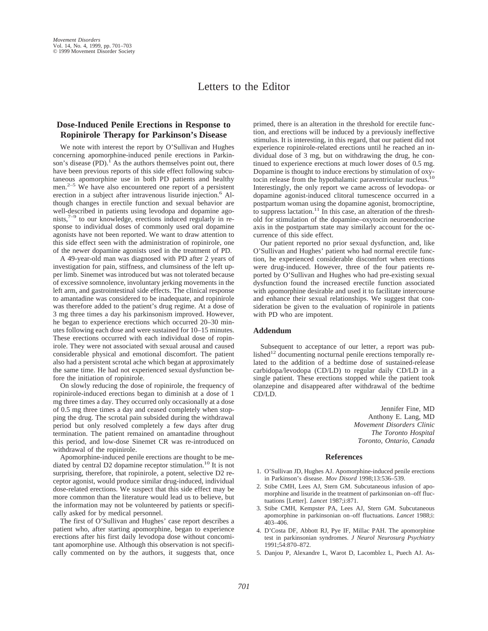# Letters to the Editor

## **Dose-Induced Penile Erections in Response to Ropinirole Therapy for Parkinson's Disease**

We note with interest the report by O'Sullivan and Hughes concerning apomorphine-induced penile erections in Parkinson's disease  $(PD)$ .<sup>1</sup> As the authors themselves point out, there have been previous reports of this side effect following subcutaneous apomorphine use in both PD patients and healthy men.<sup>2–5</sup> We have also encountered one report of a persistent erection in a subject after intravenous lisuride injection.<sup>6</sup> Although changes in erectile function and sexual behavior are well-described in patients using levodopa and dopamine agonists,7–9 to our knowledge, erections induced regularly in response to individual doses of commonly used oral dopamine agonists have not been reported. We want to draw attention to this side effect seen with the administration of ropinirole, one of the newer dopamine agonists used in the treatment of PD.

A 49-year-old man was diagnosed with PD after 2 years of investigation for pain, stiffness, and clumsiness of the left upper limb. Sinemet was introduced but was not tolerated because of excessive somnolence, involuntary jerking movements in the left arm, and gastrointestinal side effects. The clinical response to amantadine was considered to be inadequate, and ropinirole was therefore added to the patient's drug regime. At a dose of 3 mg three times a day his parkinsonism improved. However, he began to experience erections which occurred 20–30 minutes following each dose and were sustained for 10–15 minutes. These erections occurred with each individual dose of ropinirole. They were not associated with sexual arousal and caused considerable physical and emotional discomfort. The patient also had a persistent scrotal ache which began at approximately the same time. He had not experienced sexual dysfunction before the initiation of ropinirole.

On slowly reducing the dose of ropinirole, the frequency of ropinirole-induced erections began to diminish at a dose of 1 mg three times a day. They occurred only occasionally at a dose of 0.5 mg three times a day and ceased completely when stopping the drug. The scrotal pain subsided during the withdrawal period but only resolved completely a few days after drug termination. The patient remained on amantadine throughout this period, and low-dose Sinemet CR was re-introduced on withdrawal of the ropinirole.

Apomorphine-induced penile erections are thought to be mediated by central D2 dopamine receptor stimulation.<sup>10</sup> It is not surprising, therefore, that ropinirole, a potent, selective D2 receptor agonist, would produce similar drug-induced, individual dose-related erections. We suspect that this side effect may be more common than the literature would lead us to believe, but the information may not be volunteered by patients or specifically asked for by medical personnel.

The first of O'Sullivan and Hughes' case report describes a patient who, after starting apomorphine, began to experience erections after his first daily levodopa dose without concomitant apomorphine use. Although this observation is not specifically commented on by the authors, it suggests that, once

primed, there is an alteration in the threshold for erectile function, and erections will be induced by a previously ineffective stimulus. It is interesting, in this regard, that our patient did not experience ropinirole-related erections until he reached an individual dose of 3 mg, but on withdrawing the drug, he continued to experience erections at much lower doses of 0.5 mg. Dopamine is thought to induce erections by stimulation of oxytocin release from the hypothalamic paraventricular nucleus.10 Interestingly, the only report we came across of levodopa- or dopamine agonist-induced clitoral tumescence occurred in a postpartum woman using the dopamine agonist, bromocriptine, to suppress lactation.<sup>11</sup> In this case, an alteration of the threshold for stimulation of the dopamine–oxytocin neuroendocrine axis in the postpartum state may similarly account for the occurrence of this side effect.

Our patient reported no prior sexual dysfunction, and, like O'Sullivan and Hughes' patient who had normal erectile function, he experienced considerable discomfort when erections were drug-induced. However, three of the four patients reported by O'Sullivan and Hughes who had pre-existing sexual dysfunction found the increased erectile function associated with apomorphine desirable and used it to facilitate intercourse and enhance their sexual relationships. We suggest that consideration be given to the evaluation of ropinirole in patients with PD who are impotent.

#### **Addendum**

Subsequent to acceptance of our letter, a report was published<sup>12</sup> documenting nocturnal penile erections temporally related to the addition of a bedtime dose of sustained-release carbidopa/levodopa (CD/LD) to regular daily CD/LD in a single patient. These erections stopped while the patient took olanzepine and disappeared after withdrawal of the bedtime CD/LD.

> Jennifer Fine, MD Anthony E. Lang, MD *Movement Disorders Clinic The Toronto Hospital Toronto, Ontario, Canada*

#### **References**

- 1. O'Sullivan JD, Hughes AJ. Apomorphine-induced penile erections in Parkinson's disease. *Mov Disord* 1998;13:536–539.
- 2. Stibe CMH, Lees AJ, Stern GM. Subcutaneous infusion of apomorphine and lisuride in the treatment of parkinsonian on–off fluctuations [Letter]. *Lancet* 1987;i:871.
- 3. Stibe CMH, Kempster PA, Lees AJ, Stern GM. Subcutaneous apomorphine in parkinsonian on–off fluctuations. *Lancet* 1988;i: 403–406.
- 4. D'Costa DF, Abbott RJ, Pye IF, Millac PAH. The apomorphine test in parkinsonian syndromes. *J Neurol Neurosurg Psychiatry* 1991;54:870–872.
- 5. Danjou P, Alexandre L, Warot D, Lacomblez L, Puech AJ. As-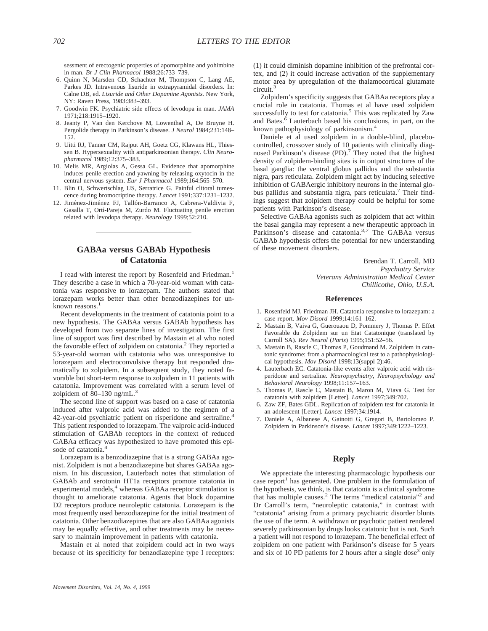sessment of erectogenic properties of apomorphine and yohimbine in man. *Br J Clin Pharmacol* 1988;26:733–739.

- 6. Quinn N, Marsden CD, Schachter M, Thompson C, Lang AE, Parkes JD. Intravenous lisuride in extrapyramidal disorders. In: Calne DB, ed. *Lisuride and Other Dopamine Agonists.* New York, NY: Raven Press, 1983:383–393.
- 7. Goodwin FK. Psychiatric side effects of levodopa in man. *JAMA* 1971;218:1915–1920.
- 8. Jeanty P, Van den Kerchove M, Lowenthal A, De Bruyne H. Pergolide therapy in Parkinson's disease. *J Neurol* 1984;231:148– 152.
- 9. Uitti RJ, Tanner CM, Rajput AH, Goetz CG, Klawans HL, Thiessen B. Hypersexuality with antiparkinsonian therapy. *Clin Neuropharmacol* 1989;12:375–383.
- 10. Melis MR, Argiolas A, Gessa GL. Evidence that apomorphine induces penile erection and yawning by releasing oxytocin in the central nervous system. *Eur J Pharmacol* 1989;164:565–570.
- 11. Blin O, Schwertschlag US, Serratrice G. Painful clitoral tumescence during bromocriptine therapy. *Lancet* 1991;337:1231–1232.
- 12. Jiménez-Jiménez FJ, Tallón-Barranco A, Cabrera-Valdivia F, Gasalla T, Ortí-Pareja M, Zurdo M. Fluctuating penile erection related with levodopa therapy. *Neurology* 1999;52:210.

## **GABAa versus GABAb Hypothesis of Catatonia**

I read with interest the report by Rosenfeld and Friedman.<sup>1</sup> They describe a case in which a 70-year-old woman with catatonia was responsive to lorazepam. The authors stated that lorazepam works better than other benzodiazepines for unknown reasons.<sup>1</sup>

Recent developments in the treatment of catatonia point to a new hypothesis. The GABAa versus GABAb hypothesis has developed from two separate lines of investigation. The first line of support was first described by Mastain et al who noted the favorable effect of zolpidem on catatonia.<sup>2</sup> They reported a 53-year-old woman with catatonia who was unresponsive to lorazepam and electroconvulsive therapy but responded dramatically to zolpidem. In a subsequent study, they noted favorable but short-term response to zolpidem in 11 patients with catatonia. Improvement was correlated with a serum level of zolpidem of  $80-130$  ng/mL.<sup>3</sup>

The second line of support was based on a case of catatonia induced after valproic acid was added to the regimen of a 42-year-old psychiatric patient on risperidone and sertraline.<sup>4</sup> This patient responded to lorazepam. The valproic acid-induced stimulation of GABAb receptors in the context of reduced GABAa efficacy was hypothesized to have promoted this episode of catatonia.<sup>4</sup>

Lorazepam is a benzodiazepine that is a strong GABAa agonist. Zolpidem is not a benzodiazepine but shares GABAa agonism. In his discussion, Lauterbach notes that stimulation of GABAb and serotonin HT1a receptors promote catatonia in experimental models,<sup>4</sup> whereas GABAa receptor stimulation is thought to ameliorate catatonia. Agents that block dopamine D2 receptors produce neuroleptic catatonia. Lorazepam is the most frequently used benzodiazepine for the initial treatment of catatonia. Other benzodiazepines that are also GABAa agonists may be equally effective, and other treatments may be necessary to maintain improvement in patients with catatonia.

Mastain et al noted that zolpidem could act in two ways because of its specificity for benzodiazepine type I receptors: (1) it could diminish dopamine inhibition of the prefrontal cortex, and (2) it could increase activation of the supplementary motor area by upregulation of the thalamocortical glutamate circuit.<sup>3</sup>

Zolpidem's specificity suggests that GABAa receptors play a crucial role in catatonia. Thomas et al have used zolpidem successfully to test for catatonia.<sup>5</sup> This was replicated by Zaw and Bates.<sup>6</sup> Lauterbach based his conclusions, in part, on the known pathophysiology of parkinsonism.4

Daniele et al used zolpidem in a double-blind, placebocontrolled, crossover study of 10 patients with clinically diagnosed Parkinson's disease  $(PD)$ .<sup>7</sup> They noted that the highest density of zolpidem-binding sites is in output structures of the basal ganglia: the ventral globus pallidus and the substantia nigra, pars reticulata. Zolpidem might act by inducing selective inhibition of GABAergic inhibitory neurons in the internal globus pallidus and substantia nigra, pars reticulata.7 Their findings suggest that zolpidem therapy could be helpful for some patients with Parkinson's disease.

Selective GABAa agonists such as zolpidem that act within the basal ganglia may represent a new therapeutic approach in Parkinson's disease and catatonia.<sup>3,7</sup> The GABAa versus GABAb hypothesis offers the potential for new understanding of these movement disorders.

> Brendan T. Carroll, MD *Psychiatry Service Veterans Administration Medical Center Chillicothe, Ohio, U.S.A.*

#### **References**

- 1. Rosenfeld MJ, Friedman JH. Catatonia responsive to lorazepam: a case report. *Mov Disord* 1999;14:161–162.
- 2. Mastain B, Vaiva G, Guerouaou D, Pommery J, Thomas P. Effet Favorable du Zolpidem sur un Etat Catatonique (translated by Carroll SA). *Rev Neurol* (*Paris*) 1995;151:52–56.
- 3. Mastain B, Rascle C, Thomas P, Goudmand M. Zolpidem in catatonic syndrome: from a pharmacological test to a pathophysiological hypothesis. *Mov Disord* 1998;13(suppl 2):46.
- 4. Lauterbach EC. Catatonia-like events after valproic acid with risperidone and sertraline. *Neuropsychiatry, Neuropsychology and Behavioral Neurology* 1998;11:157–163.
- 5. Thomas P, Rascle C, Mastain B, Maron M, Viava G. Test for catatonia with zolpidem [Letter]. *Lancet* 1997;349:702.
- 6. Zaw ZF, Bates GDL. Replication of zolpidem test for catatonia in an adolescent [Letter]. *Lancet* 1997;34:1914.
- 7. Daniele A, Albanese A, Gainotti G, Gregori B, Bartolomeo P. Zolpidem in Parkinson's disease. *Lancet* 1997;349:1222–1223.

## **Reply**

We appreciate the interesting pharmacologic hypothesis our case report<sup>1</sup> has generated. One problem in the formulation of the hypothesis, we think, is that catatonia is a clinical syndrome that has multiple causes.<sup>2</sup> The terms "medical catatonia"<sup>2</sup> and Dr Carroll's term, "neuroleptic catatonia," in contrast with "catatonia" arising from a primary psychiatric disorder blunts the use of the term. A withdrawn or psychotic patient rendered severely parkinsonian by drugs looks catatonic but is not. Such a patient will not respond to lorazepam. The beneficial effect of zolpidem on one patient with Parkinson's disease for 5 years and six of 10 PD patients for 2 hours after a single dose<sup>3</sup> only